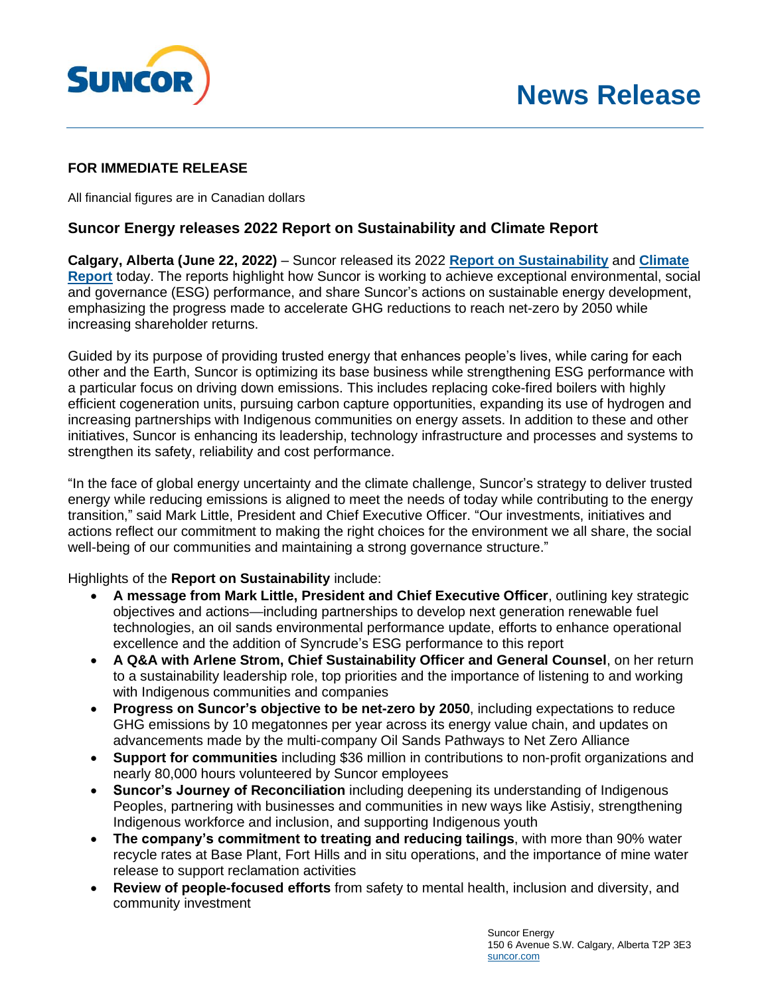

## **FOR IMMEDIATE RELEASE**

All financial figures are in Canadian dollars

## **Suncor Energy releases 2022 Report on Sustainability and Climate Report**

**Calgary, Alberta (June 22, 2022)** – Suncor released its 2022 **[Report on Sustainability](https://www.suncor.com/en-ca/sustainability/sustainability-reporting?utm_source=news_release&utm_medium=suncor_website&utm_campaign=ros_cr_launch&utm_id=suncor.sustainability&utm_content=EN)** and **[Climate](https://www.suncor.com/en-ca/sustainability/sustainability-reporting?utm_source=news_release&utm_medium=suncor_website&utm_campaign=ros_cr_launch&utm_id=suncor.sustainability&utm_content=EN)  [Report](https://www.suncor.com/en-ca/sustainability/sustainability-reporting?utm_source=news_release&utm_medium=suncor_website&utm_campaign=ros_cr_launch&utm_id=suncor.sustainability&utm_content=EN)** today. The reports highlight how Suncor is working to achieve exceptional environmental, social and governance (ESG) performance, and share Suncor's actions on sustainable energy development, emphasizing the progress made to accelerate GHG reductions to reach net-zero by 2050 while increasing shareholder returns.

Guided by its purpose of providing trusted energy that enhances people's lives, while caring for each other and the Earth, Suncor is optimizing its base business while strengthening ESG performance with a particular focus on driving down emissions. This includes replacing coke-fired boilers with highly efficient cogeneration units, pursuing carbon capture opportunities, expanding its use of hydrogen and increasing partnerships with Indigenous communities on energy assets. In addition to these and other initiatives, Suncor is enhancing its leadership, technology infrastructure and processes and systems to strengthen its safety, reliability and cost performance.

"In the face of global energy uncertainty and the climate challenge, Suncor's strategy to deliver trusted energy while reducing emissions is aligned to meet the needs of today while contributing to the energy transition," said Mark Little, President and Chief Executive Officer. "Our investments, initiatives and actions reflect our commitment to making the right choices for the environment we all share, the social well-being of our communities and maintaining a strong governance structure."

Highlights of the **Report on Sustainability** include:

- **A message from Mark Little, President and Chief Executive Officer**, outlining key strategic objectives and actions—including partnerships to develop next generation renewable fuel technologies, an oil sands environmental performance update, efforts to enhance operational excellence and the addition of Syncrude's ESG performance to this report
- **A Q&A with Arlene Strom, Chief Sustainability Officer and General Counsel**, on her return to a sustainability leadership role, top priorities and the importance of listening to and working with Indigenous communities and companies
- **Progress on Suncor's objective to be net-zero by 2050**, including expectations to reduce GHG emissions by 10 megatonnes per year across its energy value chain, and updates on advancements made by the multi-company Oil Sands Pathways to Net Zero Alliance
- **Support for communities** including \$36 million in contributions to non-profit organizations and nearly 80,000 hours volunteered by Suncor employees
- **Suncor's Journey of Reconciliation** including deepening its understanding of Indigenous Peoples, partnering with businesses and communities in new ways like Astisiy, strengthening Indigenous workforce and inclusion, and supporting Indigenous youth
- **The company's commitment to treating and reducing tailings**, with more than 90% water recycle rates at Base Plant, Fort Hills and in situ operations, and the importance of mine water release to support reclamation activities
- **Review of people-focused efforts** from safety to mental health, inclusion and diversity, and community investment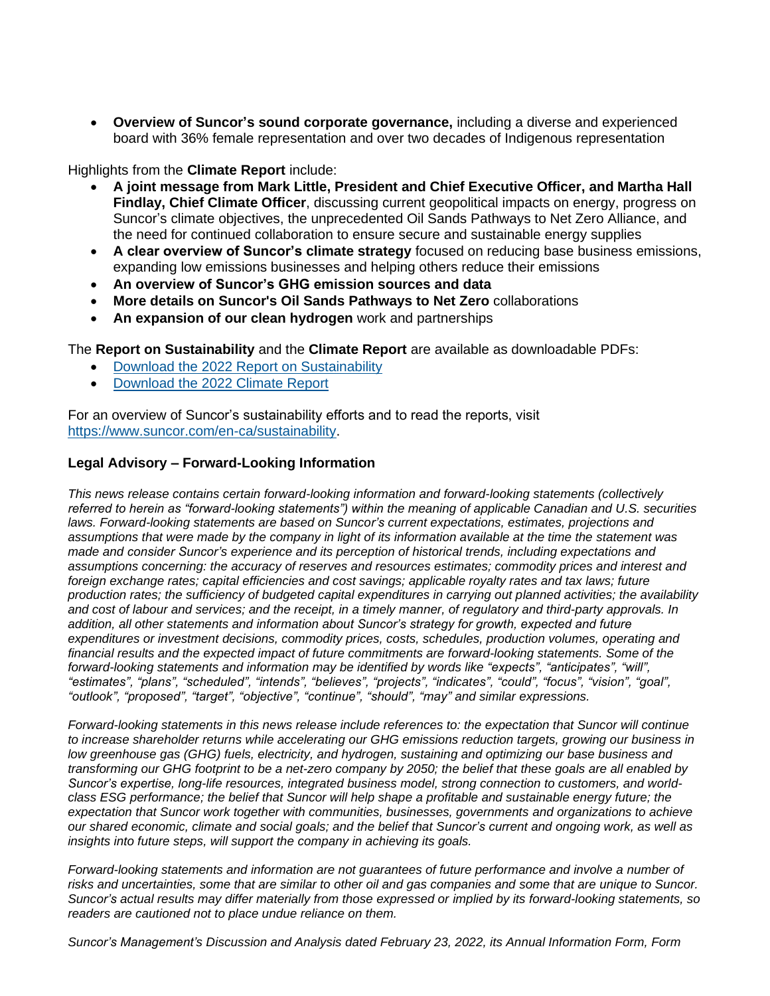• **Overview of Suncor's sound corporate governance,** including a diverse and experienced board with 36% female representation and over two decades of Indigenous representation

Highlights from the **Climate Report** include:

- **A joint message from Mark Little, President and Chief Executive Officer, and Martha Hall Findlay, Chief Climate Officer**, discussing current geopolitical impacts on energy, progress on Suncor's climate objectives, the unprecedented Oil Sands Pathways to Net Zero Alliance, and the need for continued collaboration to ensure secure and sustainable energy supplies
- **A clear overview of Suncor's climate strategy** focused on reducing base business emissions, expanding low emissions businesses and helping others reduce their emissions
- **An overview of Suncor's GHG emission sources and data**
- **More details on Suncor's Oil Sands Pathways to Net Zero** collaborations
- **An expansion of our clean hydrogen** work and partnerships

The **Report on Sustainability** and the **Climate Report** are available as downloadable PDFs:

- Download the 2022 [Report on Sustainability](https://www.suncor.com/en-ca/sustainability/sustainability-reporting?utm_source=news_release&utm_medium=suncor_website&utm_campaign=ros_cr_launch&utm_id=suncor.sustainability&utm_content=EN)
- [Download the 2022](https://www.suncor.com/en-ca/sustainability/sustainability-reporting?utm_source=news_release&utm_medium=suncor_website&utm_campaign=ros_cr_launch&utm_id=suncor.sustainability&utm_content=EN) Climate Report

For an overview of Suncor's sustainability efforts and to read the reports, visit [https://www.suncor.com/en-ca/sustainability.](https://bit.ly/3QDtClj)

## **Legal Advisory – Forward-Looking Information**

*This news release contains certain forward-looking information and forward-looking statements (collectively referred to herein as "forward-looking statements") within the meaning of applicable Canadian and U.S. securities laws. Forward-looking statements are based on Suncor's current expectations, estimates, projections and assumptions that were made by the company in light of its information available at the time the statement was made and consider Suncor's experience and its perception of historical trends, including expectations and*  assumptions concerning: the accuracy of reserves and resources estimates; commodity prices and interest and *foreign exchange rates; capital efficiencies and cost savings; applicable royalty rates and tax laws; future production rates; the sufficiency of budgeted capital expenditures in carrying out planned activities; the availability and cost of labour and services; and the receipt, in a timely manner, of regulatory and third-party approvals. In addition, all other statements and information about Suncor's strategy for growth, expected and future expenditures or investment decisions, commodity prices, costs, schedules, production volumes, operating and financial results and the expected impact of future commitments are forward-looking statements. Some of the forward-looking statements and information may be identified by words like "expects", "anticipates", "will", "estimates", "plans", "scheduled", "intends", "believes", "projects", "indicates", "could", "focus", "vision", "goal", "outlook", "proposed", "target", "objective", "continue", "should", "may" and similar expressions.*

*Forward-looking statements in this news release include references to: the expectation that Suncor will continue to increase shareholder returns while accelerating our GHG emissions reduction targets, growing our business in low greenhouse gas (GHG) fuels, electricity, and hydrogen, sustaining and optimizing our base business and transforming our GHG footprint to be a net-zero company by 2050; the belief that these goals are all enabled by Suncor's expertise, long-life resources, integrated business model, strong connection to customers, and worldclass ESG performance; the belief that Suncor will help shape a profitable and sustainable energy future; the expectation that Suncor work together with communities, businesses, governments and organizations to achieve our shared economic, climate and social goals; and the belief that Suncor's current and ongoing work, as well as insights into future steps, will support the company in achieving its goals.*

*Forward-looking statements and information are not guarantees of future performance and involve a number of risks and uncertainties, some that are similar to other oil and gas companies and some that are unique to Suncor. Suncor's actual results may differ materially from those expressed or implied by its forward-looking statements, so readers are cautioned not to place undue reliance on them.*

*Suncor's Management's Discussion and Analysis dated February 23, 2022, its Annual Information Form, Form*